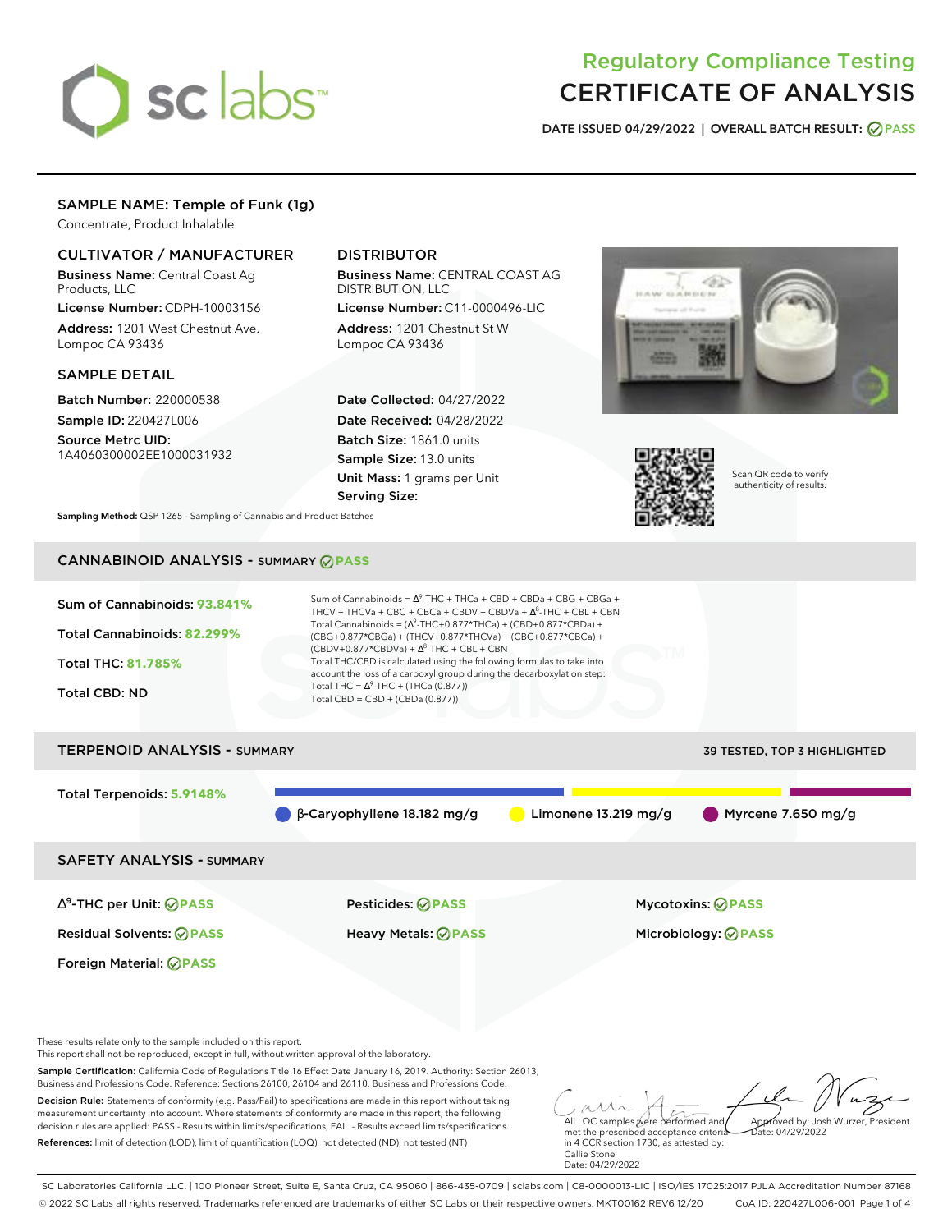# sclabs<sup>\*</sup>

# Regulatory Compliance Testing CERTIFICATE OF ANALYSIS

**DATE ISSUED 04/29/2022 | OVERALL BATCH RESULT: PASS**

# SAMPLE NAME: Temple of Funk (1g)

Concentrate, Product Inhalable

# CULTIVATOR / MANUFACTURER

Business Name: Central Coast Ag Products, LLC

License Number: CDPH-10003156 Address: 1201 West Chestnut Ave. Lompoc CA 93436

## SAMPLE DETAIL

Batch Number: 220000538 Sample ID: 220427L006

Source Metrc UID: 1A4060300002EE1000031932

# DISTRIBUTOR

Business Name: CENTRAL COAST AG DISTRIBUTION, LLC

License Number: C11-0000496-LIC Address: 1201 Chestnut St W Lompoc CA 93436

Date Collected: 04/27/2022 Date Received: 04/28/2022 Batch Size: 1861.0 units Sample Size: 13.0 units Unit Mass: 1 grams per Unit Serving Size:





Scan QR code to verify authenticity of results.

**Sampling Method:** QSP 1265 - Sampling of Cannabis and Product Batches

# CANNABINOID ANALYSIS - SUMMARY **PASS**



References: limit of detection (LOD), limit of quantification (LOQ), not detected (ND), not tested (NT)

met the prescribed acceptance criteria in 4 CCR section 1730, as attested by: Callie Stone Date: 04/29/2022

SC Laboratories California LLC. | 100 Pioneer Street, Suite E, Santa Cruz, CA 95060 | 866-435-0709 | sclabs.com | C8-0000013-LIC | ISO/IES 17025:2017 PJLA Accreditation Number 87168 © 2022 SC Labs all rights reserved. Trademarks referenced are trademarks of either SC Labs or their respective owners. MKT00162 REV6 12/20 CoA ID: 220427L006-001 Page 1 of 4